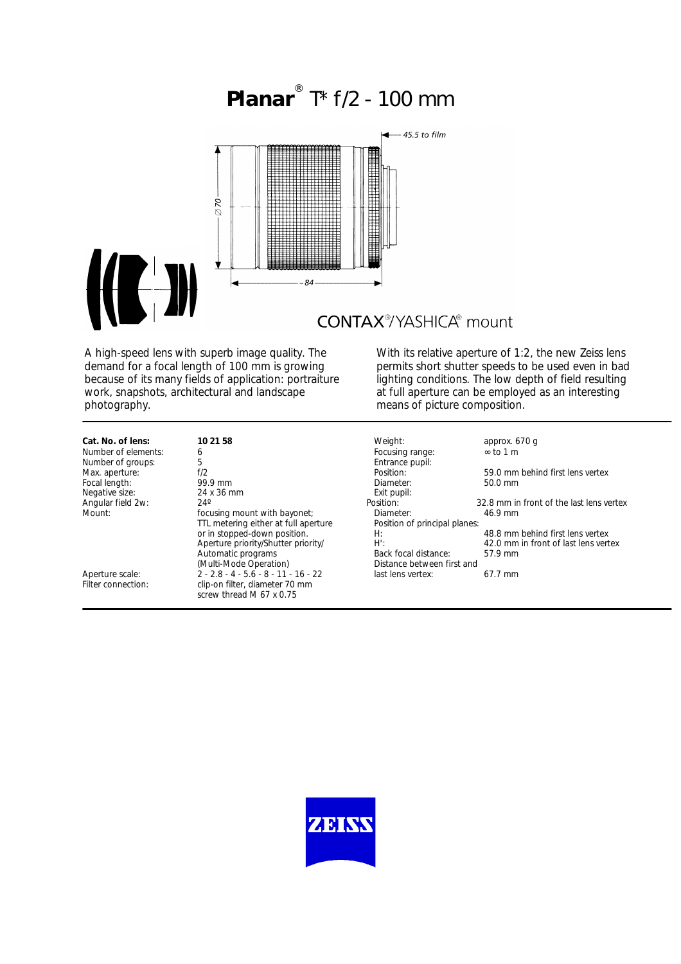# **Planar** ® T\* f/2 - 100 mm



## **CONTAX**<sup>®</sup>/YASHICA® mount

A high-speed lens with superb image quality. The demand for a focal length of 100 mm is growing because of its many fields of application: portraiture work, snapshots, architectural and landscape photography.

With its relative aperture of 1:2, the new Zeiss lens permits short shutter speeds to be used even in bad lighting conditions. The low depth of field resulting at full aperture can be employed as an interesting means of picture composition.

## **Cat. No. of lens: 10 21 58**

Mount: Mount: Mount: Focusing mount with bayonet; TTL metering either at full aperture or in stopped-down position. Aperture priority/Shutter priority/ Automatic programs (Multi-Mode Operation) Aperture scale:  $2 - 2.8 - 4 - 5.6 - 8 - 11 - 16 - 22$  last lens vertex: 67.7 mm<br>Filter connection: clip-on filter. diameter 70 mm clip-on filter, diameter 70 mm screw thread M 67 x 0.75

| Cat. No. of lens:   | 10 21 58                             | Weight:                       | approx. 670 g                            |
|---------------------|--------------------------------------|-------------------------------|------------------------------------------|
| Number of elements: | 6                                    | Focusing range:               | $\infty$ to 1 m                          |
| Number of groups:   | 5                                    | Entrance pupil:               |                                          |
| Max. aperture:      | f/2                                  | Position:                     | 59.0 mm behind first lens vertex         |
| Focal length:       | 99.9 mm                              | Diameter:                     | $50.0$ mm                                |
| Negative size:      | 24 x 36 mm                           | Exit pupil:                   |                                          |
| Angular field 2w:   | $24^\circ$                           | Position:                     | 32.8 mm in front of the last lens vertex |
| Mount:              | focusing mount with bayonet;         | Diameter:                     | 46.9 mm                                  |
|                     | TTL metering either at full aperture | Position of principal planes: |                                          |
|                     | or in stopped-down position.         | H:                            | 48.8 mm behind first lens vertex         |
|                     | Aperture priority/Shutter priority/  | H':                           | 42.0 mm in front of last lens vertex     |
|                     | Automatic programs                   | Back focal distance:          | 57.9 mm                                  |
|                     | (Multi-Mode Operation)               | Distance between first and    |                                          |
| Anorturo scalo:     | 2.28.1.56.8.11.16.22                 | last lans vartav:             | 67 7 mm                                  |